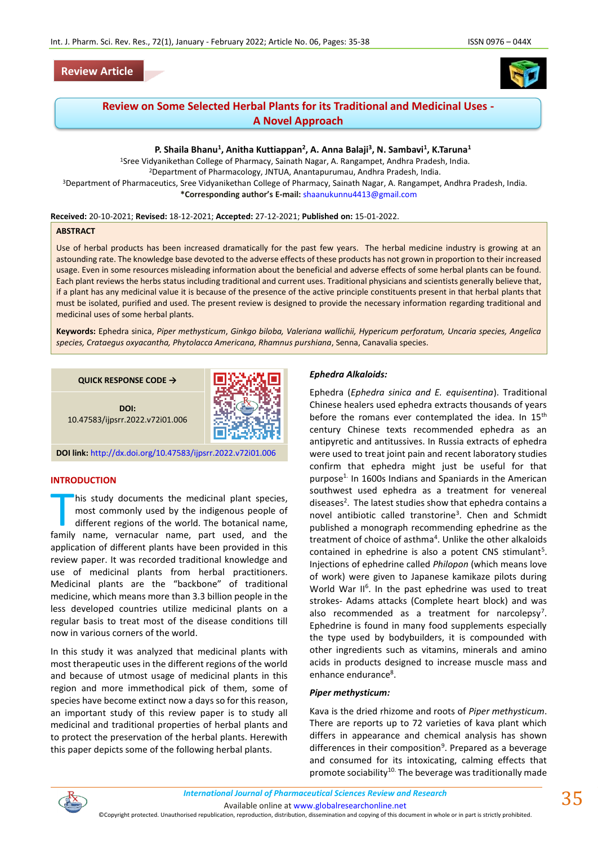



# **Review on Some Selected Herbal Plants for its Traditional and Medicinal Uses - A Novel Approach**

# **P. Shaila Bhanu<sup>1</sup> , Anitha Kuttiappan<sup>2</sup> , A. Anna Balaji<sup>3</sup> , N. Sambavi<sup>1</sup> , K.Taruna<sup>1</sup>**

<sup>1</sup>Sree Vidyanikethan College of Pharmacy, Sainath Nagar, A. Rangampet, Andhra Pradesh, India. <sup>2</sup>Department of Pharmacology, JNTUA, Anantapurumau, Andhra Pradesh, India. <sup>3</sup>Department of Pharmaceutics, Sree Vidyanikethan College of Pharmacy, Sainath Nagar, A. Rangampet, Andhra Pradesh, India. **\*Corresponding author's E-mail:** [shaanukunnu4413@gmail.com](mailto:shaanukunnu4413@gmail.com)

#### **Received:** 20-10-2021; **Revised:** 18-12-2021; **Accepted:** 27-12-2021; **Published on:** 15-01-2022.

## **ABSTRACT**

Use of herbal products has been increased dramatically for the past few years. The herbal medicine industry is growing at an astounding rate. The knowledge base devoted to the adverse effects of these products has not grown in proportion to their increased usage. Even in some resources misleading information about the beneficial and adverse effects of some herbal plants can be found. Each plant reviews the herbs status including traditional and current uses. Traditional physicians and scientists generally believe that, if a plant has any medicinal value it is because of the presence of the active principle constituents present in that herbal plants that must be isolated, purified and used. The present review is designed to provide the necessary information regarding traditional and medicinal uses of some herbal plants.

**Keywords:** Ephedra sinica, *Piper methysticum*, *Ginkgo biloba, Valeriana wallichii, Hypericum perforatum, Uncaria species, Angelica species, Crataegus oxyacantha, Phytolacca Americana, Rhamnus purshiana*, Senna, Canavalia species.

#### **QUICK RESPONSE CODE →**



10.47583/ijpsrr.2022.v72i01.006



## **INTRODUCTION**

his study documents the medicinal plant species, most commonly used by the indigenous people of different regions of the world. The botanical name, his study documents the medicinal plant species,<br>most commonly used by the indigenous people of<br>different regions of the world. The botanical name,<br>family name, vernacular name, part used, and the application of different plants have been provided in this review paper. It was recorded traditional knowledge and use of medicinal plants from herbal practitioners. Medicinal plants are the "backbone" of traditional medicine, which means more than 3.3 billion people in the less developed countries utilize medicinal plants on a regular basis to treat most of the disease conditions till now in various corners of the world.

In this study it was analyzed that medicinal plants with most therapeutic uses in the different regions of the world and because of utmost usage of medicinal plants in this region and more immethodical pick of them, some of species have become extinct now a days so for this reason, an important study of this review paper is to study all medicinal and traditional properties of herbal plants and to protect the preservation of the herbal plants. Herewith this paper depicts some of the following herbal plants.

#### *Ephedra Alkaloids:*

Ephedra (*Ephedra sinica and E. equisentina*). Traditional Chinese healers used ephedra extracts thousands of years before the romans ever contemplated the idea. In 15<sup>th</sup> century Chinese texts recommended ephedra as an antipyretic and antitussives. In Russia extracts of ephedra were used to treat joint pain and recent laboratory studies confirm that ephedra might just be useful for that purpose1. In 1600s Indians and Spaniards in the American southwest used ephedra as a treatment for venereal diseases<sup>2</sup>. The latest studies show that ephedra contains a novel antibiotic called transtorine<sup>3</sup>. Chen and Schmidt published a monograph recommending ephedrine as the treatment of choice of asthma<sup>4</sup>. Unlike the other alkaloids contained in ephedrine is also a potent CNS stimulant<sup>5</sup>. Injections of ephedrine called *Philopon* (which means love of work) were given to Japanese kamikaze pilots during World War II<sup>6</sup>. In the past ephedrine was used to treat strokes- Adams attacks (Complete heart block) and was also recommended as a treatment for narcolepsy<sup>7</sup>. Ephedrine is found in many food supplements especially the type used by bodybuilders, it is compounded with other ingredients such as vitamins, minerals and amino acids in products designed to increase muscle mass and enhance endurance<sup>8</sup>.

#### *Piper methysticum:*

Kava is the dried rhizome and roots of *Piper methysticum*. There are reports up to 72 varieties of kava plant which differs in appearance and chemical analysis has shown differences in their composition<sup>9</sup>. Prepared as a beverage and consumed for its intoxicating, calming effects that promote sociability<sup>10.</sup> The beverage was traditionally made



Available online a[t www.globalresearchonline.net](http://www.globalresearchonline.net/)

©Copyright protected. Unauthorised republication, reproduction, distribution, dissemination and copying of this document in whole or in part is strictly prohibited.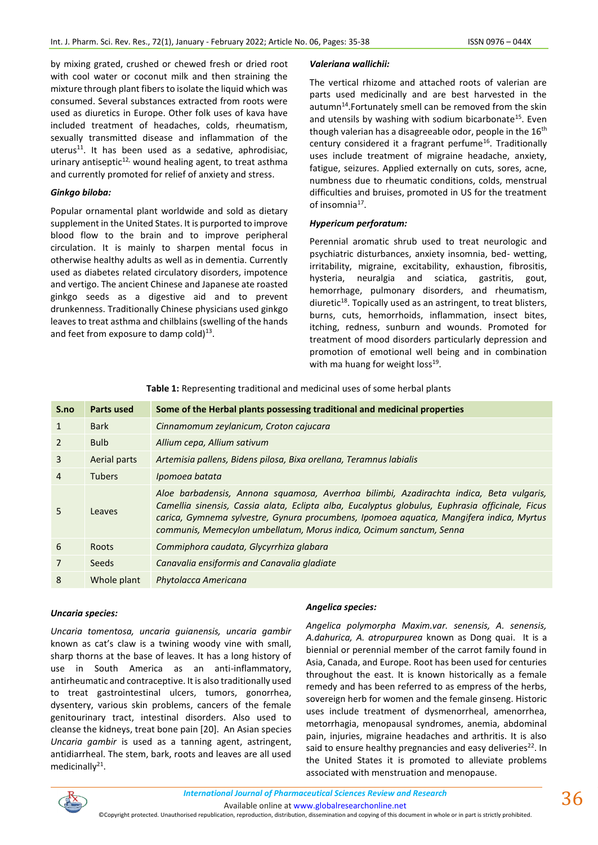by mixing grated, crushed or chewed fresh or dried root with cool water or coconut milk and then straining the mixture through plant fibers to isolate the liquid which was consumed. Several substances extracted from roots were used as diuretics in Europe. Other folk uses of kava have included treatment of headaches, colds, rheumatism, sexually transmitted disease and inflammation of the uterus $11$ . It has been used as a sedative, aphrodisiac, urinary antiseptic<sup>12,</sup> wound healing agent, to treat asthma and currently promoted for relief of anxiety and stress.

# *Ginkgo biloba:*

Popular ornamental plant worldwide and sold as dietary supplement in the United States. It is purported to improve blood flow to the brain and to improve peripheral circulation. It is mainly to sharpen mental focus in otherwise healthy adults as well as in dementia. Currently used as diabetes related circulatory disorders, impotence and vertigo. The ancient Chinese and Japanese ate roasted ginkgo seeds as a digestive aid and to prevent drunkenness. Traditionally Chinese physicians used ginkgo leaves to treat asthma and chilblains (swelling of the hands and feet from exposure to damp cold) $^{13}$ .

## *Valeriana wallichii:*

The vertical rhizome and attached roots of valerian are parts used medicinally and are best harvested in the autumn<sup>14</sup>.Fortunately smell can be removed from the skin and utensils by washing with sodium bicarbonate<sup>15</sup>. Even though valerian has a disagreeable odor, people in the  $16<sup>th</sup>$ century considered it a fragrant perfume<sup>16</sup>. Traditionally uses include treatment of migraine headache, anxiety, fatigue, seizures. Applied externally on cuts, sores, acne, numbness due to rheumatic conditions, colds, menstrual difficulties and bruises, promoted in US for the treatment of insomnia<sup>17</sup>.

# *Hypericum perforatum:*

Perennial aromatic shrub used to treat neurologic and psychiatric disturbances, anxiety insomnia, bed- wetting, irritability, migraine, excitability, exhaustion, fibrositis, hysteria, neuralgia and sciatica, gastritis, gout, hemorrhage, pulmonary disorders, and rheumatism, diuretic $18$ . Topically used as an astringent, to treat blisters, burns, cuts, hemorrhoids, inflammation, insect bites, itching, redness, sunburn and wounds. Promoted for treatment of mood disorders particularly depression and promotion of emotional well being and in combination with ma huang for weight loss<sup>19</sup>.

| S.no           | <b>Parts used</b> | Some of the Herbal plants possessing traditional and medicinal properties                                                                                                                                                                                                                                                                                     |
|----------------|-------------------|---------------------------------------------------------------------------------------------------------------------------------------------------------------------------------------------------------------------------------------------------------------------------------------------------------------------------------------------------------------|
| 1              | <b>Bark</b>       | Cinnamomum zeylanicum, Croton cajucara                                                                                                                                                                                                                                                                                                                        |
| $\overline{2}$ | <b>Bulb</b>       | Allium cepa, Allium sativum                                                                                                                                                                                                                                                                                                                                   |
| 3              | Aerial parts      | Artemisia pallens, Bidens pilosa, Bixa orellana, Teramnus labialis                                                                                                                                                                                                                                                                                            |
| 4              | <b>Tubers</b>     | Ipomoea batata                                                                                                                                                                                                                                                                                                                                                |
| 5.             | Leaves            | Aloe barbadensis, Annona squamosa, Averrhoa bilimbi, Azadirachta indica, Beta vulgaris,<br>Camellia sinensis, Cassia alata, Eclipta alba, Eucalyptus globulus, Euphrasia officinale, Ficus<br>carica, Gymnema sylvestre, Gynura procumbens, Ipomoea aquatica, Mangifera indica, Myrtus<br>communis, Memecylon umbellatum, Morus indica, Ocimum sanctum, Senna |
| 6              | <b>Roots</b>      | Commiphora caudata, Glycyrrhiza glabara                                                                                                                                                                                                                                                                                                                       |
| $\overline{7}$ | Seeds             | Canavalia ensiformis and Canavalia gladiate                                                                                                                                                                                                                                                                                                                   |
| 8              | Whole plant       | Phytolacca Americana                                                                                                                                                                                                                                                                                                                                          |

**Table 1:** Representing traditional and medicinal uses of some herbal plants

## *Uncaria species:*

*Uncaria tomentosa, uncaria guianensis, uncaria gambir* known as cat's claw is a twining woody vine with small, sharp thorns at the base of leaves. It has a long history of use in South America as an anti-inflammatory, antirheumatic and contraceptive. It is also traditionally used to treat gastrointestinal ulcers, tumors, gonorrhea, dysentery, various skin problems, cancers of the female genitourinary tract, intestinal disorders. Also used to cleanse the kidneys, treat bone pain [20]. An Asian species *Uncaria gambir* is used as a tanning agent, astringent, antidiarrheal. The stem, bark, roots and leaves are all used medicinally<sup>21</sup>.

## *Angelica species:*

*Angelica polymorpha Maxim.var. senensis, A. senensis, A.dahurica, A. atropurpurea* known as Dong quai. It is a biennial or perennial member of the carrot family found in Asia, Canada, and Europe. Root has been used for centuries throughout the east. It is known historically as a female remedy and has been referred to as empress of the herbs, sovereign herb for women and the female ginseng. Historic uses include treatment of dysmenorrheal, amenorrhea, metorrhagia, menopausal syndromes, anemia, abdominal pain, injuries, migraine headaches and arthritis. It is also said to ensure healthy pregnancies and easy deliveries $^{22}$ . In the United States it is promoted to alleviate problems associated with menstruation and menopause.

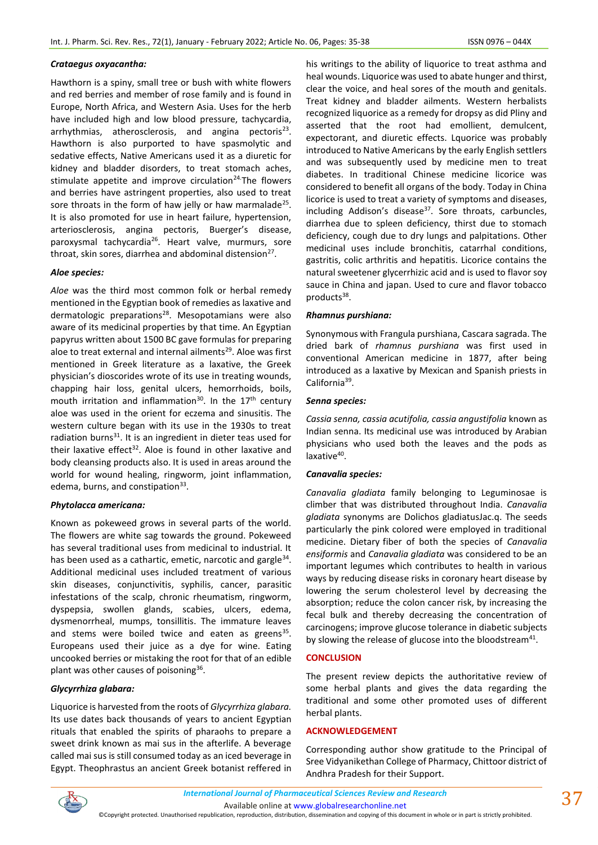## *Crataegus oxyacantha:*

Hawthorn is a spiny, small tree or bush with white flowers and red berries and member of rose family and is found in Europe, North Africa, and Western Asia. Uses for the herb have included high and low blood pressure, tachycardia, arrhythmias, atherosclerosis, and angina pectoris<sup>23</sup>. Hawthorn is also purported to have spasmolytic and sedative effects, Native Americans used it as a diuretic for kidney and bladder disorders, to treat stomach aches, stimulate appetite and improve circulation $24$ . The flowers and berries have astringent properties, also used to treat sore throats in the form of haw jelly or haw marmalade<sup>25</sup>. It is also promoted for use in heart failure, hypertension, arteriosclerosis, angina pectoris, Buerger's disease, paroxysmal tachycardia<sup>26</sup>. Heart valve, murmurs, sore throat, skin sores, diarrhea and abdominal distension<sup>27</sup>.

## *Aloe species:*

*Aloe* was the third most common folk or herbal remedy mentioned in the Egyptian book of remedies as laxative and dermatologic preparations<sup>28</sup>. Mesopotamians were also aware of its medicinal properties by that time. An Egyptian papyrus written about 1500 BC gave formulas for preparing aloe to treat external and internal ailments<sup>29</sup>. Aloe was first mentioned in Greek literature as a laxative, the Greek physician's dioscorides wrote of its use in treating wounds, chapping hair loss, genital ulcers, hemorrhoids, boils, mouth irritation and inflammation<sup>30</sup>. In the  $17<sup>th</sup>$  century aloe was used in the orient for eczema and sinusitis. The western culture began with its use in the 1930s to treat radiation burns $^{31}$ . It is an ingredient in dieter teas used for their laxative effect<sup>32</sup>. Aloe is found in other laxative and body cleansing products also. It is used in areas around the world for wound healing, ringworm, joint inflammation, edema, burns, and constipation<sup>33</sup>.

## *Phytolacca americana:*

Known as pokeweed grows in several parts of the world. The flowers are white sag towards the ground. Pokeweed has several traditional uses from medicinal to industrial. It has been used as a cathartic, emetic, narcotic and gargle<sup>34</sup>. Additional medicinal uses included treatment of various skin diseases, conjunctivitis, syphilis, cancer, parasitic infestations of the scalp, chronic rheumatism, ringworm, dyspepsia, swollen glands, scabies, ulcers, edema, dysmenorrheal, mumps, tonsillitis. The immature leaves and stems were boiled twice and eaten as greens<sup>35</sup>. Europeans used their juice as a dye for wine. Eating uncooked berries or mistaking the root for that of an edible plant was other causes of poisoning<sup>36</sup>.

# *Glycyrrhiza glabara:*

Liquorice is harvested from the roots of *Glycyrrhiza glabara.*  Its use dates back thousands of years to ancient Egyptian rituals that enabled the spirits of pharaohs to prepare a sweet drink known as mai sus in the afterlife. A beverage called mai sus is still consumed today as an iced beverage in Egypt. Theophrastus an ancient Greek botanist reffered in his writings to the ability of liquorice to treat asthma and heal wounds. Liquorice was used to abate hunger and thirst, clear the voice, and heal sores of the mouth and genitals. Treat kidney and bladder ailments. Western herbalists recognized liquorice as a remedy for dropsy as did Pliny and asserted that the root had emollient, demulcent, expectorant, and diuretic effects. Lquorice was probably introduced to Native Americans by the early English settlers and was subsequently used by medicine men to treat diabetes. In traditional Chinese medicine licorice was considered to benefit all organs of the body. Today in China licorice is used to treat a variety of symptoms and diseases, including Addison's disease $37$ . Sore throats, carbuncles, diarrhea due to spleen deficiency, thirst due to stomach deficiency, cough due to dry lungs and palpitations. Other medicinal uses include bronchitis, catarrhal conditions, gastritis, colic arthritis and hepatitis. Licorice contains the natural sweetener glycerrhizic acid and is used to flavor soy sauce in China and japan. Used to cure and flavor tobacco products<sup>38</sup>.

## *Rhamnus purshiana:*

Synonymous with Frangula purshiana, Cascara sagrada. The dried bark of *rhamnus purshiana* was first used in conventional American medicine in 1877, after being introduced as a laxative by Mexican and Spanish priests in California<sup>39</sup>.

## *Senna species:*

*Cassia senna, cassia acutifolia, cassia angustifolia* known as Indian senna. Its medicinal use was introduced by Arabian physicians who used both the leaves and the pods as laxative<sup>40</sup>.

# *Canavalia species:*

*Canavalia gladiata* family belonging to Leguminosae is climber that was distributed throughout India. *Canavalia gladiata* synonyms are Dolichos gladiatusJac.q. The seeds particularly the pink colored were employed in traditional medicine. Dietary fiber of both the species of *Canavalia ensiformis* and *Canavalia gladiata* was considered to be an important legumes which contributes to health in various ways by reducing disease risks in coronary heart disease by lowering the serum cholesterol level by decreasing the absorption; reduce the colon cancer risk, by increasing the fecal bulk and thereby decreasing the concentration of carcinogens; improve glucose tolerance in diabetic subjects by slowing the release of glucose into the bloodstream $41$ .

## **CONCLUSION**

The present review depicts the authoritative review of some herbal plants and gives the data regarding the traditional and some other promoted uses of different herbal plants.

## **ACKNOWLEDGEMENT**

Corresponding author show gratitude to the Principal of Sree Vidyanikethan College of Pharmacy, Chittoor district of Andhra Pradesh for their Support.



Available online a[t www.globalresearchonline.net](http://www.globalresearchonline.net/)

©Copyright protected. Unauthorised republication, reproduction, distribution, dissemination and copying of this document in whole or in part is strictly prohibited.